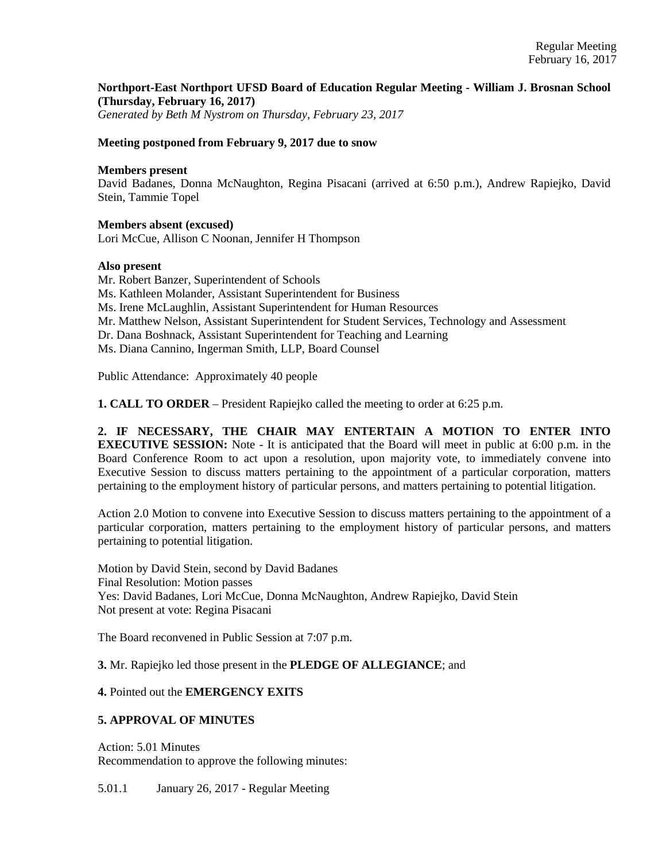# **Northport-East Northport UFSD Board of Education Regular Meeting - William J. Brosnan School (Thursday, February 16, 2017)**

*Generated by Beth M Nystrom on Thursday, February 23, 2017*

#### **Meeting postponed from February 9, 2017 due to snow**

#### **Members present**

David Badanes, Donna McNaughton, Regina Pisacani (arrived at 6:50 p.m.), Andrew Rapiejko, David Stein, Tammie Topel

#### **Members absent (excused)**

Lori McCue, Allison C Noonan, Jennifer H Thompson

#### **Also present**

Mr. Robert Banzer, Superintendent of Schools Ms. Kathleen Molander, Assistant Superintendent for Business Ms. Irene McLaughlin, Assistant Superintendent for Human Resources Mr. Matthew Nelson, Assistant Superintendent for Student Services, Technology and Assessment Dr. Dana Boshnack, Assistant Superintendent for Teaching and Learning

Ms. Diana Cannino, Ingerman Smith, LLP, Board Counsel

Public Attendance: Approximately 40 people

**1. CALL TO ORDER** – President Rapiejko called the meeting to order at 6:25 p.m.

**2. IF NECESSARY, THE CHAIR MAY ENTERTAIN A MOTION TO ENTER INTO EXECUTIVE SESSION:** Note - It is anticipated that the Board will meet in public at 6:00 p.m. in the Board Conference Room to act upon a resolution, upon majority vote, to immediately convene into Executive Session to discuss matters pertaining to the appointment of a particular corporation, matters pertaining to the employment history of particular persons, and matters pertaining to potential litigation.

Action 2.0 Motion to convene into Executive Session to discuss matters pertaining to the appointment of a particular corporation, matters pertaining to the employment history of particular persons, and matters pertaining to potential litigation.

Motion by David Stein, second by David Badanes Final Resolution: Motion passes Yes: David Badanes, Lori McCue, Donna McNaughton, Andrew Rapiejko, David Stein Not present at vote: Regina Pisacani

The Board reconvened in Public Session at 7:07 p.m.

**3.** Mr. Rapiejko led those present in the **PLEDGE OF ALLEGIANCE**; and

#### **4.** Pointed out the **EMERGENCY EXITS**

## **5. APPROVAL OF MINUTES**

Action: 5.01 Minutes Recommendation to approve the following minutes:

5.01.1 January 26, 2017 - Regular Meeting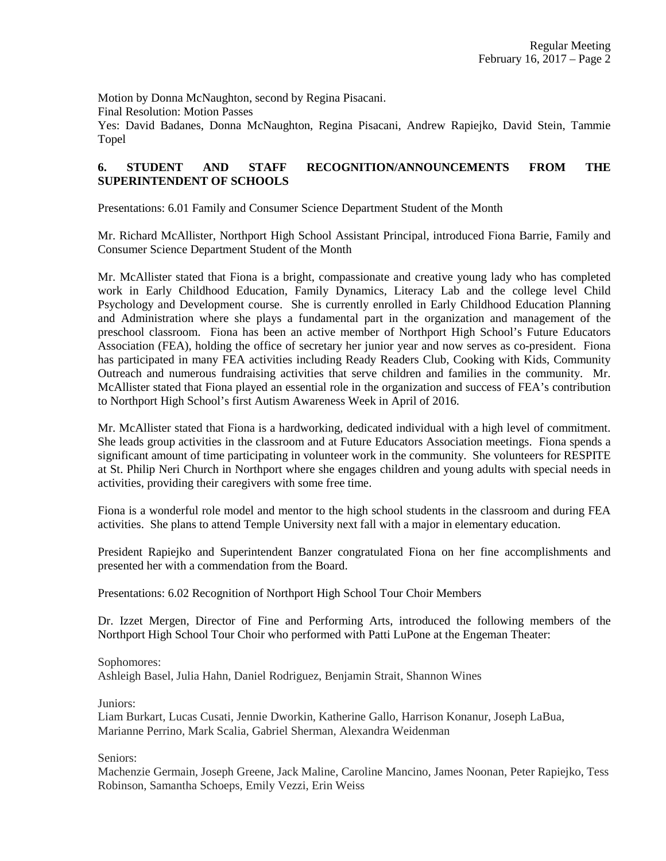Motion by Donna McNaughton, second by Regina Pisacani.

Final Resolution: Motion Passes

Yes: David Badanes, Donna McNaughton, Regina Pisacani, Andrew Rapiejko, David Stein, Tammie Topel

# **6. STUDENT AND STAFF RECOGNITION/ANNOUNCEMENTS FROM THE SUPERINTENDENT OF SCHOOLS**

Presentations: 6.01 Family and Consumer Science Department Student of the Month

Mr. Richard McAllister, Northport High School Assistant Principal, introduced Fiona Barrie, Family and Consumer Science Department Student of the Month

Mr. McAllister stated that Fiona is a bright, compassionate and creative young lady who has completed work in Early Childhood Education, Family Dynamics, Literacy Lab and the college level Child Psychology and Development course. She is currently enrolled in Early Childhood Education Planning and Administration where she plays a fundamental part in the organization and management of the preschool classroom. Fiona has been an active member of Northport High School's Future Educators Association (FEA), holding the office of secretary her junior year and now serves as co-president. Fiona has participated in many FEA activities including Ready Readers Club, Cooking with Kids, Community Outreach and numerous fundraising activities that serve children and families in the community. Mr. McAllister stated that Fiona played an essential role in the organization and success of FEA's contribution to Northport High School's first Autism Awareness Week in April of 2016.

Mr. McAllister stated that Fiona is a hardworking, dedicated individual with a high level of commitment. She leads group activities in the classroom and at Future Educators Association meetings. Fiona spends a significant amount of time participating in volunteer work in the community. She volunteers for RESPITE at St. Philip Neri Church in Northport where she engages children and young adults with special needs in activities, providing their caregivers with some free time.

Fiona is a wonderful role model and mentor to the high school students in the classroom and during FEA activities. She plans to attend Temple University next fall with a major in elementary education.

President Rapiejko and Superintendent Banzer congratulated Fiona on her fine accomplishments and presented her with a commendation from the Board.

Presentations: 6.02 Recognition of Northport High School Tour Choir Members

Dr. Izzet Mergen, Director of Fine and Performing Arts, introduced the following members of the Northport High School Tour Choir who performed with Patti LuPone at the Engeman Theater:

## Sophomores:

Ashleigh Basel, Julia Hahn, Daniel Rodriguez, Benjamin Strait, Shannon Wines

Juniors:

Liam Burkart, Lucas Cusati, Jennie Dworkin, Katherine Gallo, Harrison Konanur, Joseph LaBua, Marianne Perrino, Mark Scalia, Gabriel Sherman, Alexandra Weidenman

Seniors:

Machenzie Germain, Joseph Greene, Jack Maline, Caroline Mancino, James Noonan, Peter Rapiejko, Tess Robinson, Samantha Schoeps, Emily Vezzi, Erin Weiss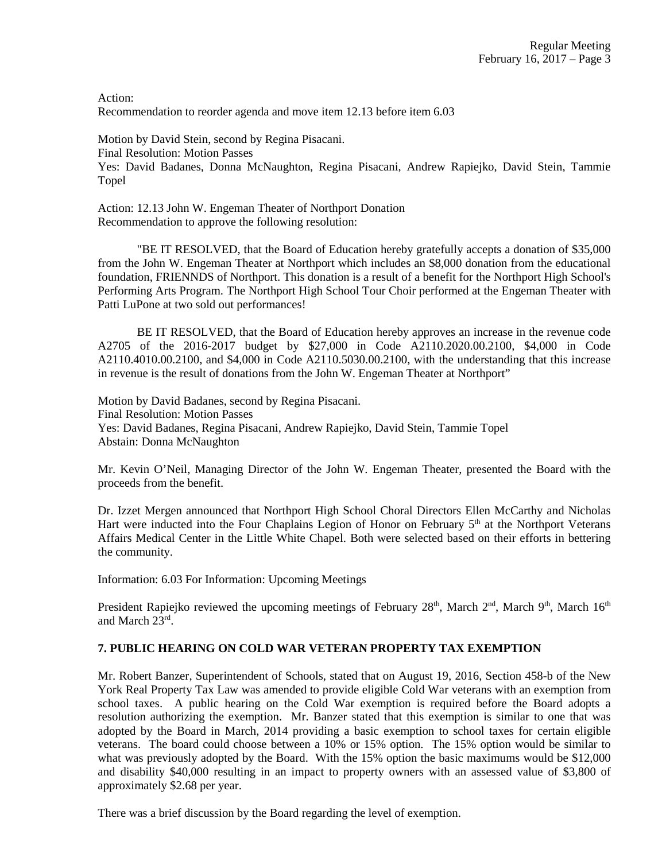Action: Recommendation to reorder agenda and move item 12.13 before item 6.03

Motion by David Stein, second by Regina Pisacani. Final Resolution: Motion Passes Yes: David Badanes, Donna McNaughton, Regina Pisacani, Andrew Rapiejko, David Stein, Tammie Topel

Action: 12.13 John W. Engeman Theater of Northport Donation Recommendation to approve the following resolution:

"BE IT RESOLVED, that the Board of Education hereby gratefully accepts a donation of \$35,000 from the John W. Engeman Theater at Northport which includes an \$8,000 donation from the educational foundation, FRIENNDS of Northport. This donation is a result of a benefit for the Northport High School's Performing Arts Program. The Northport High School Tour Choir performed at the Engeman Theater with Patti LuPone at two sold out performances!

BE IT RESOLVED, that the Board of Education hereby approves an increase in the revenue code A2705 of the 2016-2017 budget by \$27,000 in Code A2110.2020.00.2100, \$4,000 in Code A2110.4010.00.2100, and \$4,000 in Code A2110.5030.00.2100, with the understanding that this increase in revenue is the result of donations from the John W. Engeman Theater at Northport"

Motion by David Badanes, second by Regina Pisacani. Final Resolution: Motion Passes Yes: David Badanes, Regina Pisacani, Andrew Rapiejko, David Stein, Tammie Topel Abstain: Donna McNaughton

Mr. Kevin O'Neil, Managing Director of the John W. Engeman Theater, presented the Board with the proceeds from the benefit.

Dr. Izzet Mergen announced that Northport High School Choral Directors Ellen McCarthy and Nicholas Hart were inducted into the Four Chaplains Legion of Honor on February  $5<sup>th</sup>$  at the Northport Veterans Affairs Medical Center in the Little White Chapel. Both were selected based on their efforts in bettering the community.

Information: 6.03 For Information: Upcoming Meetings

President Rapiejko reviewed the upcoming meetings of February 28<sup>th</sup>, March 2<sup>nd</sup>, March 9<sup>th</sup>, March 16<sup>th</sup> and March 23rd .

# **7. PUBLIC HEARING ON COLD WAR VETERAN PROPERTY TAX EXEMPTION**

Mr. Robert Banzer, Superintendent of Schools, stated that on August 19, 2016, Section 458-b of the New York Real Property Tax Law was amended to provide eligible Cold War veterans with an exemption from school taxes. A public hearing on the Cold War exemption is required before the Board adopts a resolution authorizing the exemption. Mr. Banzer stated that this exemption is similar to one that was adopted by the Board in March, 2014 providing a basic exemption to school taxes for certain eligible veterans. The board could choose between a 10% or 15% option. The 15% option would be similar to what was previously adopted by the Board. With the 15% option the basic maximums would be \$12,000 and disability \$40,000 resulting in an impact to property owners with an assessed value of \$3,800 of approximately \$2.68 per year.

There was a brief discussion by the Board regarding the level of exemption.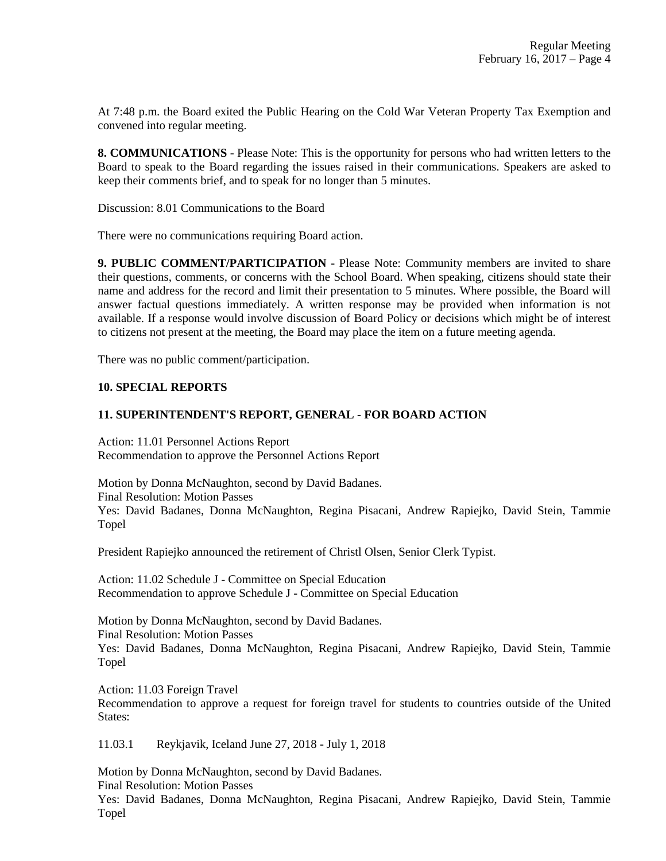At 7:48 p.m. the Board exited the Public Hearing on the Cold War Veteran Property Tax Exemption and convened into regular meeting.

**8. COMMUNICATIONS** - Please Note: This is the opportunity for persons who had written letters to the Board to speak to the Board regarding the issues raised in their communications. Speakers are asked to keep their comments brief, and to speak for no longer than 5 minutes.

Discussion: 8.01 Communications to the Board

There were no communications requiring Board action.

**9. PUBLIC COMMENT/PARTICIPATION** - Please Note: Community members are invited to share their questions, comments, or concerns with the School Board. When speaking, citizens should state their name and address for the record and limit their presentation to 5 minutes. Where possible, the Board will answer factual questions immediately. A written response may be provided when information is not available. If a response would involve discussion of Board Policy or decisions which might be of interest to citizens not present at the meeting, the Board may place the item on a future meeting agenda.

There was no public comment/participation.

## **10. SPECIAL REPORTS**

## **11. SUPERINTENDENT'S REPORT, GENERAL - FOR BOARD ACTION**

Action: 11.01 Personnel Actions Report Recommendation to approve the Personnel Actions Report

Motion by Donna McNaughton, second by David Badanes. Final Resolution: Motion Passes Yes: David Badanes, Donna McNaughton, Regina Pisacani, Andrew Rapiejko, David Stein, Tammie Topel

President Rapiejko announced the retirement of Christl Olsen, Senior Clerk Typist.

Action: 11.02 Schedule J - Committee on Special Education Recommendation to approve Schedule J - Committee on Special Education

Motion by Donna McNaughton, second by David Badanes. Final Resolution: Motion Passes Yes: David Badanes, Donna McNaughton, Regina Pisacani, Andrew Rapiejko, David Stein, Tammie Topel

Action: 11.03 Foreign Travel

Recommendation to approve a request for foreign travel for students to countries outside of the United States:

11.03.1 Reykjavik, Iceland June 27, 2018 - July 1, 2018

Motion by Donna McNaughton, second by David Badanes. Final Resolution: Motion Passes

Yes: David Badanes, Donna McNaughton, Regina Pisacani, Andrew Rapiejko, David Stein, Tammie Topel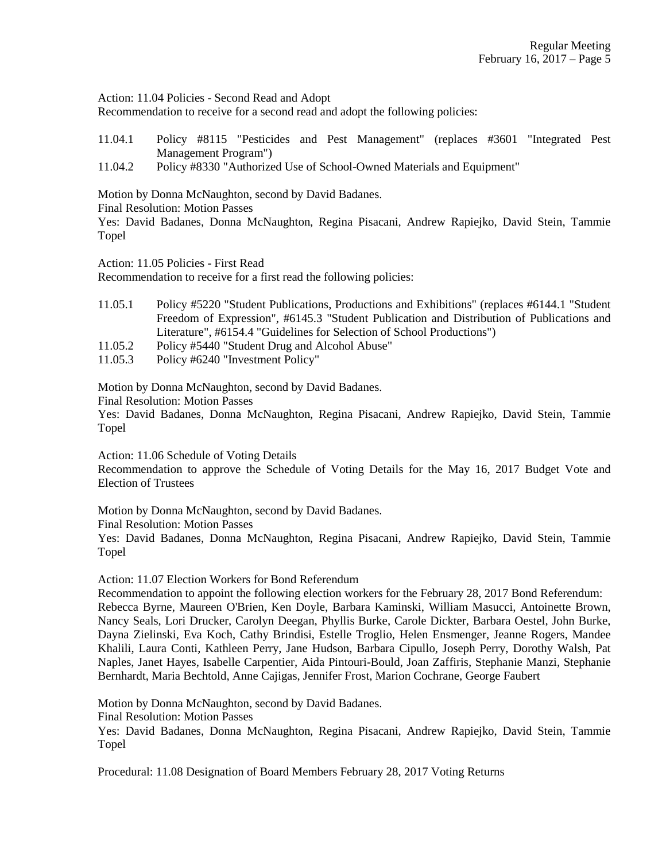Action: 11.04 Policies - Second Read and Adopt

Recommendation to receive for a second read and adopt the following policies:

- 11.04.1 Policy #8115 "Pesticides and Pest Management" (replaces #3601 "Integrated Pest Management Program")
- 11.04.2 Policy #8330 "Authorized Use of School-Owned Materials and Equipment"

Motion by Donna McNaughton, second by David Badanes.

Final Resolution: Motion Passes

Yes: David Badanes, Donna McNaughton, Regina Pisacani, Andrew Rapiejko, David Stein, Tammie Topel

Action: 11.05 Policies - First Read

Recommendation to receive for a first read the following policies:

- 11.05.1 Policy #5220 "Student Publications, Productions and Exhibitions" (replaces #6144.1 "Student Freedom of Expression", #6145.3 "Student Publication and Distribution of Publications and Literature", #6154.4 "Guidelines for Selection of School Productions")
- 11.05.2 Policy #5440 "Student Drug and Alcohol Abuse"
- 11.05.3 Policy #6240 "Investment Policy"

Motion by Donna McNaughton, second by David Badanes.

Final Resolution: Motion Passes

Yes: David Badanes, Donna McNaughton, Regina Pisacani, Andrew Rapiejko, David Stein, Tammie Topel

Action: 11.06 Schedule of Voting Details

Recommendation to approve the Schedule of Voting Details for the May 16, 2017 Budget Vote and Election of Trustees

Motion by Donna McNaughton, second by David Badanes.

Final Resolution: Motion Passes

Yes: David Badanes, Donna McNaughton, Regina Pisacani, Andrew Rapiejko, David Stein, Tammie Topel

Action: 11.07 Election Workers for Bond Referendum

Recommendation to appoint the following election workers for the February 28, 2017 Bond Referendum: Rebecca Byrne, Maureen O'Brien, Ken Doyle, Barbara Kaminski, William Masucci, Antoinette Brown, Nancy Seals, Lori Drucker, Carolyn Deegan, Phyllis Burke, Carole Dickter, Barbara Oestel, John Burke, Dayna Zielinski, Eva Koch, Cathy Brindisi, Estelle Troglio, Helen Ensmenger, Jeanne Rogers, Mandee Khalili, Laura Conti, Kathleen Perry, Jane Hudson, Barbara Cipullo, Joseph Perry, Dorothy Walsh, Pat Naples, Janet Hayes, Isabelle Carpentier, Aida Pintouri-Bould, Joan Zaffiris, Stephanie Manzi, Stephanie Bernhardt, Maria Bechtold, Anne Cajigas, Jennifer Frost, Marion Cochrane, George Faubert

Motion by Donna McNaughton, second by David Badanes.

Final Resolution: Motion Passes

Yes: David Badanes, Donna McNaughton, Regina Pisacani, Andrew Rapiejko, David Stein, Tammie Topel

Procedural: 11.08 Designation of Board Members February 28, 2017 Voting Returns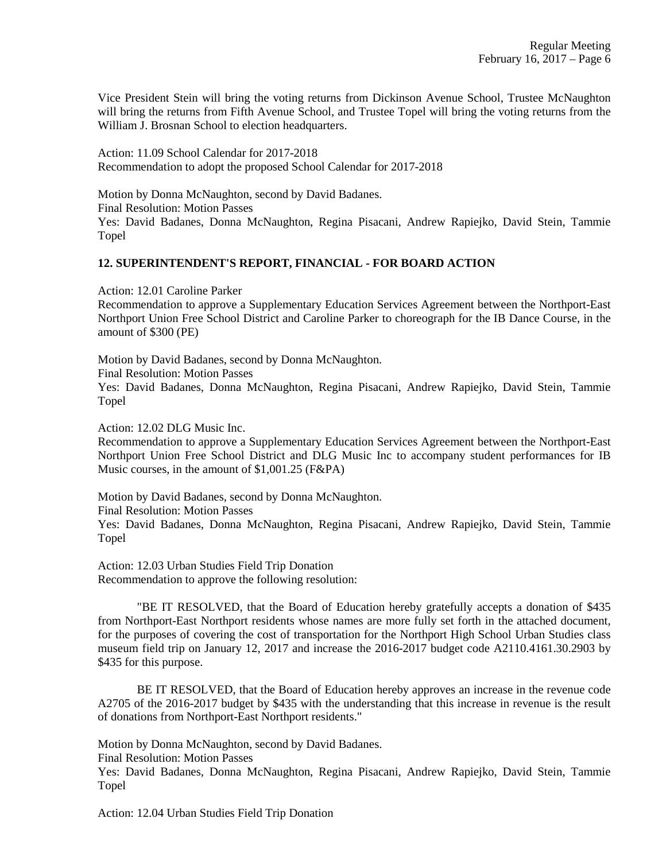Vice President Stein will bring the voting returns from Dickinson Avenue School, Trustee McNaughton will bring the returns from Fifth Avenue School, and Trustee Topel will bring the voting returns from the William J. Brosnan School to election headquarters.

Action: 11.09 School Calendar for 2017-2018 Recommendation to adopt the proposed School Calendar for 2017-2018

Motion by Donna McNaughton, second by David Badanes. Final Resolution: Motion Passes Yes: David Badanes, Donna McNaughton, Regina Pisacani, Andrew Rapiejko, David Stein, Tammie Topel

## **12. SUPERINTENDENT'S REPORT, FINANCIAL - FOR BOARD ACTION**

Action: 12.01 Caroline Parker

Recommendation to approve a Supplementary Education Services Agreement between the Northport-East Northport Union Free School District and Caroline Parker to choreograph for the IB Dance Course, in the amount of \$300 (PE)

Motion by David Badanes, second by Donna McNaughton. Final Resolution: Motion Passes Yes: David Badanes, Donna McNaughton, Regina Pisacani, Andrew Rapiejko, David Stein, Tammie Topel

Action: 12.02 DLG Music Inc.

Recommendation to approve a Supplementary Education Services Agreement between the Northport-East Northport Union Free School District and DLG Music Inc to accompany student performances for IB Music courses, in the amount of \$1,001.25 (F&PA)

Motion by David Badanes, second by Donna McNaughton.

Final Resolution: Motion Passes

Yes: David Badanes, Donna McNaughton, Regina Pisacani, Andrew Rapiejko, David Stein, Tammie Topel

Action: 12.03 Urban Studies Field Trip Donation Recommendation to approve the following resolution:

"BE IT RESOLVED, that the Board of Education hereby gratefully accepts a donation of \$435 from Northport-East Northport residents whose names are more fully set forth in the attached document, for the purposes of covering the cost of transportation for the Northport High School Urban Studies class museum field trip on January 12, 2017 and increase the 2016-2017 budget code A2110.4161.30.2903 by \$435 for this purpose.

BE IT RESOLVED, that the Board of Education hereby approves an increase in the revenue code A2705 of the 2016-2017 budget by \$435 with the understanding that this increase in revenue is the result of donations from Northport-East Northport residents."

Motion by Donna McNaughton, second by David Badanes.

Final Resolution: Motion Passes

Yes: David Badanes, Donna McNaughton, Regina Pisacani, Andrew Rapiejko, David Stein, Tammie Topel

Action: 12.04 Urban Studies Field Trip Donation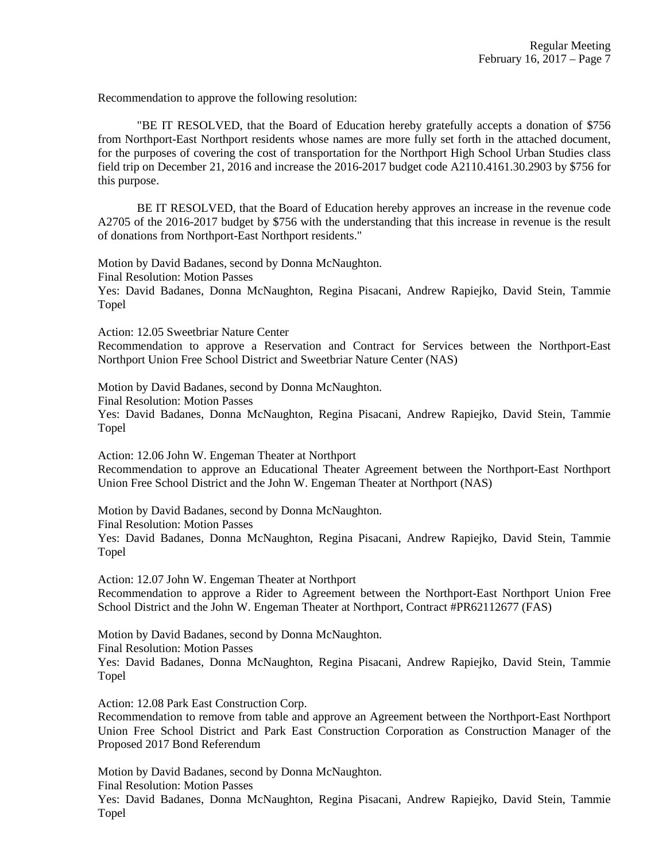Recommendation to approve the following resolution:

"BE IT RESOLVED, that the Board of Education hereby gratefully accepts a donation of \$756 from Northport-East Northport residents whose names are more fully set forth in the attached document, for the purposes of covering the cost of transportation for the Northport High School Urban Studies class field trip on December 21, 2016 and increase the 2016-2017 budget code A2110.4161.30.2903 by \$756 for this purpose.

BE IT RESOLVED, that the Board of Education hereby approves an increase in the revenue code A2705 of the 2016-2017 budget by \$756 with the understanding that this increase in revenue is the result of donations from Northport-East Northport residents."

Motion by David Badanes, second by Donna McNaughton. Final Resolution: Motion Passes Yes: David Badanes, Donna McNaughton, Regina Pisacani, Andrew Rapiejko, David Stein, Tammie

Action: 12.05 Sweetbriar Nature Center

Recommendation to approve a Reservation and Contract for Services between the Northport-East Northport Union Free School District and Sweetbriar Nature Center (NAS)

Motion by David Badanes, second by Donna McNaughton.

Final Resolution: Motion Passes

Topel

Yes: David Badanes, Donna McNaughton, Regina Pisacani, Andrew Rapiejko, David Stein, Tammie Topel

Action: 12.06 John W. Engeman Theater at Northport Recommendation to approve an Educational Theater Agreement between the Northport-East Northport Union Free School District and the John W. Engeman Theater at Northport (NAS)

Motion by David Badanes, second by Donna McNaughton.

Final Resolution: Motion Passes

Yes: David Badanes, Donna McNaughton, Regina Pisacani, Andrew Rapiejko, David Stein, Tammie Topel

Action: 12.07 John W. Engeman Theater at Northport Recommendation to approve a Rider to Agreement between the Northport-East Northport Union Free School District and the John W. Engeman Theater at Northport, Contract #PR62112677 (FAS)

Motion by David Badanes, second by Donna McNaughton.

Final Resolution: Motion Passes

Yes: David Badanes, Donna McNaughton, Regina Pisacani, Andrew Rapiejko, David Stein, Tammie Topel

Action: 12.08 Park East Construction Corp.

Recommendation to remove from table and approve an Agreement between the Northport-East Northport Union Free School District and Park East Construction Corporation as Construction Manager of the Proposed 2017 Bond Referendum

Motion by David Badanes, second by Donna McNaughton. Final Resolution: Motion Passes

Yes: David Badanes, Donna McNaughton, Regina Pisacani, Andrew Rapiejko, David Stein, Tammie Topel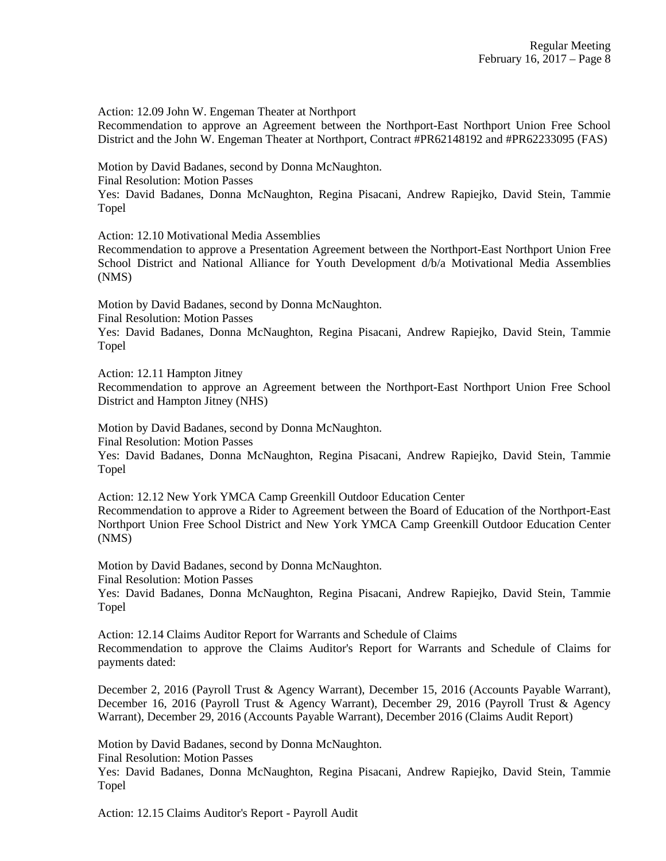Action: 12.09 John W. Engeman Theater at Northport

Recommendation to approve an Agreement between the Northport-East Northport Union Free School District and the John W. Engeman Theater at Northport, Contract #PR62148192 and #PR62233095 (FAS)

Motion by David Badanes, second by Donna McNaughton.

Final Resolution: Motion Passes

Yes: David Badanes, Donna McNaughton, Regina Pisacani, Andrew Rapiejko, David Stein, Tammie Topel

Action: 12.10 Motivational Media Assemblies

Recommendation to approve a Presentation Agreement between the Northport-East Northport Union Free School District and National Alliance for Youth Development d/b/a Motivational Media Assemblies (NMS)

Motion by David Badanes, second by Donna McNaughton. Final Resolution: Motion Passes

Yes: David Badanes, Donna McNaughton, Regina Pisacani, Andrew Rapiejko, David Stein, Tammie Topel

Action: 12.11 Hampton Jitney

Recommendation to approve an Agreement between the Northport-East Northport Union Free School District and Hampton Jitney (NHS)

Motion by David Badanes, second by Donna McNaughton. Final Resolution: Motion Passes

Yes: David Badanes, Donna McNaughton, Regina Pisacani, Andrew Rapiejko, David Stein, Tammie Topel

Action: 12.12 New York YMCA Camp Greenkill Outdoor Education Center Recommendation to approve a Rider to Agreement between the Board of Education of the Northport-East Northport Union Free School District and New York YMCA Camp Greenkill Outdoor Education Center (NMS)

Motion by David Badanes, second by Donna McNaughton. Final Resolution: Motion Passes

Yes: David Badanes, Donna McNaughton, Regina Pisacani, Andrew Rapiejko, David Stein, Tammie Topel

Action: 12.14 Claims Auditor Report for Warrants and Schedule of Claims Recommendation to approve the Claims Auditor's Report for Warrants and Schedule of Claims for payments dated:

December 2, 2016 (Payroll Trust & Agency Warrant), December 15, 2016 (Accounts Payable Warrant), December 16, 2016 (Payroll Trust & Agency Warrant), December 29, 2016 (Payroll Trust & Agency Warrant), December 29, 2016 (Accounts Payable Warrant), December 2016 (Claims Audit Report)

Motion by David Badanes, second by Donna McNaughton.

Final Resolution: Motion Passes

Yes: David Badanes, Donna McNaughton, Regina Pisacani, Andrew Rapiejko, David Stein, Tammie Topel

Action: 12.15 Claims Auditor's Report - Payroll Audit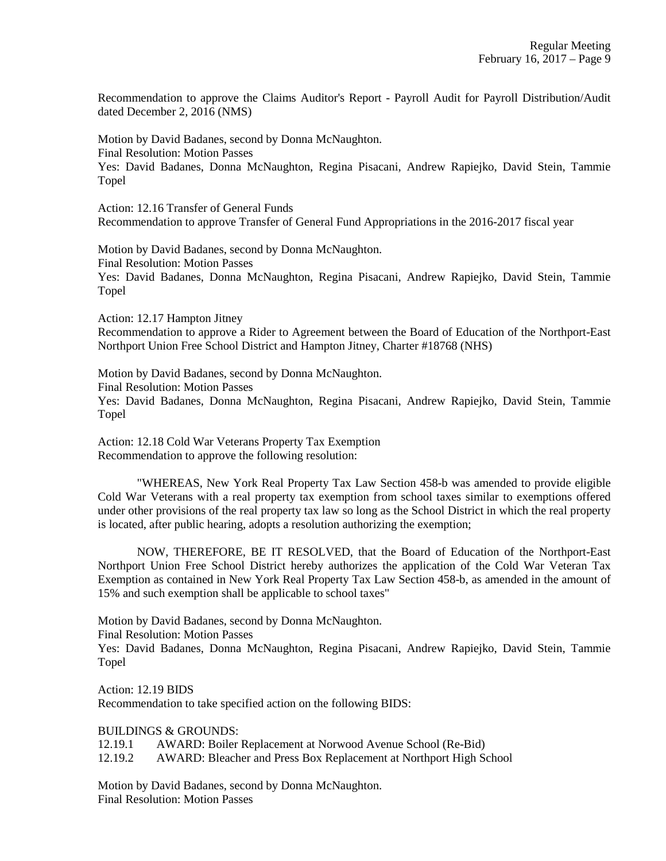Recommendation to approve the Claims Auditor's Report - Payroll Audit for Payroll Distribution/Audit dated December 2, 2016 (NMS)

Motion by David Badanes, second by Donna McNaughton. Final Resolution: Motion Passes Yes: David Badanes, Donna McNaughton, Regina Pisacani, Andrew Rapiejko, David Stein, Tammie Topel

Action: 12.16 Transfer of General Funds Recommendation to approve Transfer of General Fund Appropriations in the 2016-2017 fiscal year

Motion by David Badanes, second by Donna McNaughton. Final Resolution: Motion Passes Yes: David Badanes, Donna McNaughton, Regina Pisacani, Andrew Rapiejko, David Stein, Tammie Topel

Action: 12.17 Hampton Jitney Recommendation to approve a Rider to Agreement between the Board of Education of the Northport-East Northport Union Free School District and Hampton Jitney, Charter #18768 (NHS)

Motion by David Badanes, second by Donna McNaughton. Final Resolution: Motion Passes Yes: David Badanes, Donna McNaughton, Regina Pisacani, Andrew Rapiejko, David Stein, Tammie Topel

Action: 12.18 Cold War Veterans Property Tax Exemption Recommendation to approve the following resolution:

"WHEREAS, New York Real Property Tax Law Section 458-b was amended to provide eligible Cold War Veterans with a real property tax exemption from school taxes similar to exemptions offered under other provisions of the real property tax law so long as the School District in which the real property is located, after public hearing, adopts a resolution authorizing the exemption;

NOW, THEREFORE, BE IT RESOLVED, that the Board of Education of the Northport-East Northport Union Free School District hereby authorizes the application of the Cold War Veteran Tax Exemption as contained in New York Real Property Tax Law Section 458-b, as amended in the amount of 15% and such exemption shall be applicable to school taxes"

Motion by David Badanes, second by Donna McNaughton.

Final Resolution: Motion Passes

Yes: David Badanes, Donna McNaughton, Regina Pisacani, Andrew Rapiejko, David Stein, Tammie Topel

Action: 12.19 BIDS Recommendation to take specified action on the following BIDS:

BUILDINGS & GROUNDS:

12.19.1 AWARD: Boiler Replacement at Norwood Avenue School (Re-Bid)

12.19.2 AWARD: Bleacher and Press Box Replacement at Northport High School

Motion by David Badanes, second by Donna McNaughton. Final Resolution: Motion Passes